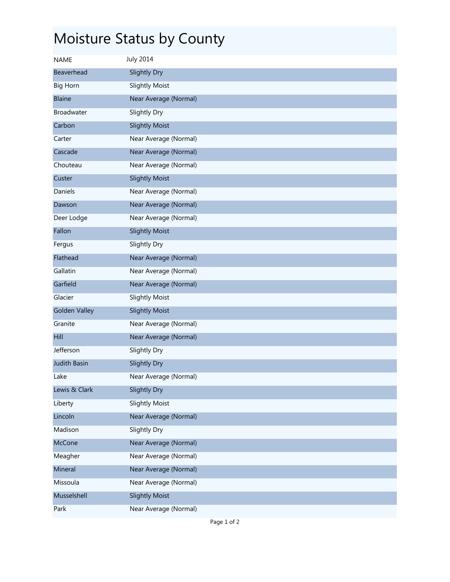## Moisture Status by County

| <b>NAME</b>          | <b>July 2014</b>      |
|----------------------|-----------------------|
| Beaverhead           | Slightly Dry          |
| <b>Big Horn</b>      | <b>Slightly Moist</b> |
| <b>Blaine</b>        | Near Average (Normal) |
| <b>Broadwater</b>    | Slightly Dry          |
| Carbon               | <b>Slightly Moist</b> |
| Carter               | Near Average (Normal) |
| Cascade              | Near Average (Normal) |
| Chouteau             | Near Average (Normal) |
| Custer               | <b>Slightly Moist</b> |
| Daniels              | Near Average (Normal) |
| Dawson               | Near Average (Normal) |
| Deer Lodge           | Near Average (Normal) |
| Fallon               | <b>Slightly Moist</b> |
| Fergus               | Slightly Dry          |
| Flathead             | Near Average (Normal) |
| Gallatin             | Near Average (Normal) |
| Garfield             | Near Average (Normal) |
| Glacier              | <b>Slightly Moist</b> |
| <b>Golden Valley</b> | <b>Slightly Moist</b> |
| Granite              | Near Average (Normal) |
| Hill                 | Near Average (Normal) |
| Jefferson            | Slightly Dry          |
| <b>Judith Basin</b>  | Slightly Dry          |
| Lake                 | Near Average (Normal) |
| Lewis & Clark        | <b>Slightly Dry</b>   |
| Liberty              | <b>Slightly Moist</b> |
| Lincoln              | Near Average (Normal) |
| Madison              | Slightly Dry          |
| <b>McCone</b>        | Near Average (Normal) |
| Meagher              | Near Average (Normal) |
| Mineral              | Near Average (Normal) |
| Missoula             | Near Average (Normal) |
| Musselshell          | <b>Slightly Moist</b> |
| Park                 | Near Average (Normal) |